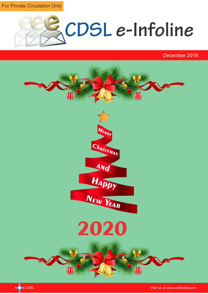For Private Circulation Only



December 2019